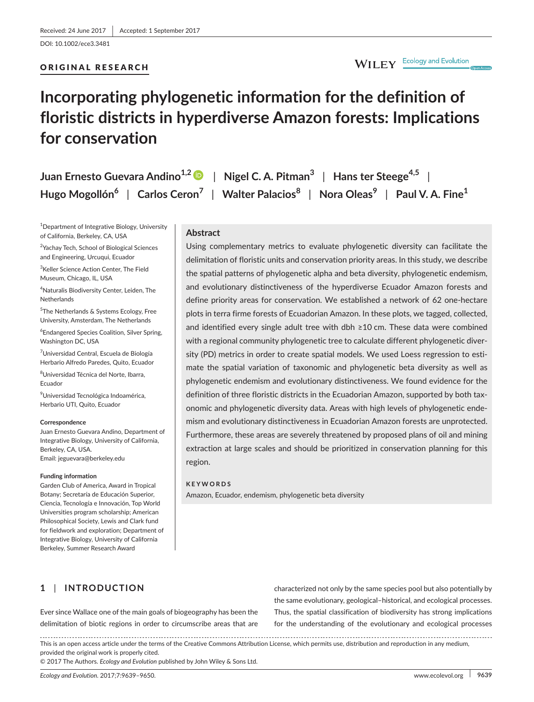DOI: 10.1002/ece3.3481

## ORIGINAL RESEARCH

# **Incorporating phylogenetic information for the definition of floristic districts in hyperdiverse Amazon forests: Implications for conservation**

| Juan Ernesto Guevara Andino <sup>1,2</sup> D   Nigel C. A. Pitman <sup>3</sup>   Hans ter Steege <sup>4,5</sup>                                |  |  |
|------------------------------------------------------------------------------------------------------------------------------------------------|--|--|
| Hugo Mogollón <sup>6</sup>   Carlos Ceron <sup>7</sup>   Walter Palacios <sup>8</sup>   Nora Oleas <sup>9</sup>   Paul V. A. Fine <sup>1</sup> |  |  |

 $^{\rm 1}$ Department of Integrative Biology, University of California, Berkeley, CA, USA

<sup>2</sup>Yachay Tech, School of Biological Sciences and Engineering, Urcuqui, Ecuador

3 Keller Science Action Center, The Field Museum, Chicago, IL, USA

4 Naturalis Biodiversity Center, Leiden, The Netherlands

5 The Netherlands & Systems Ecology, Free University, Amsterdam, The Netherlands

6 Endangered Species Coalition, Silver Spring, Washington DC, USA

<sup>7</sup>Universidad Central, Escuela de Biología Herbario Alfredo Paredes, Quito, Ecuador

8 Universidad Técnica del Norte, Ibarra, Ecuador

9 Universidad Tecnológica Indoamérica, Herbario UTI, Quito, Ecuador

#### **Correspondence**

Juan Ernesto Guevara Andino, Department of Integrative Biology, University of California, Berkeley, CA, USA. Email: [jeguevara@berkeley.edu](mailto:jeguevara@berkeley.edu)

#### **Funding information**

Garden Club of America, Award in Tropical Botany; Secretaría de Educación Superior, Ciencia, Tecnología e Innovación, Top World Universities program scholarship; American Philosophical Society, Lewis and Clark fund for fieldwork and exploration; Department of Integrative Biology, University of California Berkeley, Summer Research Award

## **Abstract**

Using complementary metrics to evaluate phylogenetic diversity can facilitate the delimitation of floristic units and conservation priority areas. In this study, we describe the spatial patterns of phylogenetic alpha and beta diversity, phylogenetic endemism, and evolutionary distinctiveness of the hyperdiverse Ecuador Amazon forests and define priority areas for conservation. We established a network of 62 one-hectare plots in terra firme forests of Ecuadorian Amazon. In these plots, we tagged, collected, and identified every single adult tree with dbh ≥10 cm. These data were combined with a regional community phylogenetic tree to calculate different phylogenetic diversity (PD) metrics in order to create spatial models. We used Loess regression to estimate the spatial variation of taxonomic and phylogenetic beta diversity as well as phylogenetic endemism and evolutionary distinctiveness. We found evidence for the definition of three floristic districts in the Ecuadorian Amazon, supported by both taxonomic and phylogenetic diversity data. Areas with high levels of phylogenetic endemism and evolutionary distinctiveness in Ecuadorian Amazon forests are unprotected. Furthermore, these areas are severely threatened by proposed plans of oil and mining extraction at large scales and should be prioritized in conservation planning for this region.

#### **KEYWORDS**

Amazon, Ecuador, endemism, phylogenetic beta diversity

# **1** | **INTRODUCTION**

Ever since Wallace one of the main goals of biogeography has been the delimitation of biotic regions in order to circumscribe areas that are characterized not only by the same species pool but also potentially by the same evolutionary, geological–historical, and ecological processes. Thus, the spatial classification of biodiversity has strong implications for the understanding of the evolutionary and ecological processes

This is an open access article under the terms of the Creative Commons [Attribution](http://creativecommons.org/licenses/by/4.0/) License, which permits use, distribution and reproduction in any medium, provided the original work is properly cited.

© 2017 The Authors. *Ecology and Evolution* published by John Wiley & Sons Ltd.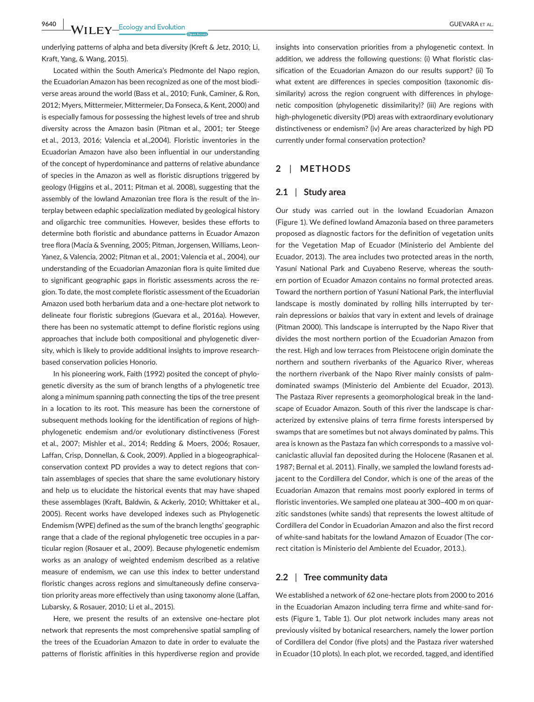**9640 WII FY** Ecology and Evolution **and Experiment COUEVARA ET AL.** 

underlying patterns of alpha and beta diversity (Kreft & Jetz, 2010; Li, Kraft, Yang, & Wang, 2015).

Located within the South America's Piedmonte del Napo region, the Ecuadorian Amazon has been recognized as one of the most biodiverse areas around the world (Bass et al., 2010; Funk, Caminer, & Ron, 2012; Myers, Mittermeier, Mittermeier, Da Fonseca, & Kent, 2000) and is especially famous for possessing the highest levels of tree and shrub diversity across the Amazon basin (Pitman et al., 2001; ter Steege et al., 2013, 2016; Valencia et al.,2004). Floristic inventories in the Ecuadorian Amazon have also been influential in our understanding of the concept of hyperdominance and patterns of relative abundance of species in the Amazon as well as floristic disruptions triggered by geology (Higgins et al., 2011; Pitman et al. 2008), suggesting that the assembly of the lowland Amazonian tree flora is the result of the interplay between edaphic specialization mediated by geological history and oligarchic tree communities. However, besides these efforts to determine both floristic and abundance patterns in Ecuador Amazon tree flora (Macía & Svenning, 2005; Pitman, Jorgensen, Williams, Leon-Yanez, & Valencia, 2002; Pitman et al., 2001; Valencia et al., 2004), our understanding of the Ecuadorian Amazonian flora is quite limited due to significant geographic gaps in floristic assessments across the region. To date, the most complete floristic assessment of the Ecuadorian Amazon used both herbarium data and a one-hectare plot network to delineate four floristic subregions (Guevara et al., 2016a). However, there has been no systematic attempt to define floristic regions using approaches that include both compositional and phylogenetic diversity, which is likely to provide additional insights to improve researchbased conservation policies Honorio.

In his pioneering work, Faith (1992) posited the concept of phylogenetic diversity as the sum of branch lengths of a phylogenetic tree along a minimum spanning path connecting the tips of the tree present in a location to its root. This measure has been the cornerstone of subsequent methods looking for the identification of regions of highphylogenetic endemism and/or evolutionary distinctiveness (Forest et al., 2007; Mishler et al., 2014; Redding & Moers, 2006; Rosauer, Laffan, Crisp, Donnellan, & Cook, 2009). Applied in a biogeographicalconservation context PD provides a way to detect regions that contain assemblages of species that share the same evolutionary history and help us to elucidate the historical events that may have shaped these assemblages (Kraft, Baldwin, & Ackerly, 2010; Whittaker et al., 2005). Recent works have developed indexes such as Phylogenetic Endemism (WPE) defined as the sum of the branch lengths' geographic range that a clade of the regional phylogenetic tree occupies in a particular region (Rosauer et al., 2009). Because phylogenetic endemism works as an analogy of weighted endemism described as a relative measure of endemism, we can use this index to better understand floristic changes across regions and simultaneously define conservation priority areas more effectively than using taxonomy alone (Laffan, Lubarsky, & Rosauer, 2010; Li et al., 2015).

Here, we present the results of an extensive one-hectare plot network that represents the most comprehensive spatial sampling of the trees of the Ecuadorian Amazon to date in order to evaluate the patterns of floristic affinities in this hyperdiverse region and provide insights into conservation priorities from a phylogenetic context. In addition, we address the following questions: (i) What floristic classification of the Ecuadorian Amazon do our results support? (ii) To what extent are differences in species composition (taxonomic dissimilarity) across the region congruent with differences in phylogenetic composition (phylogenetic dissimilarity)? (iii) Are regions with high-phylogenetic diversity (PD) areas with extraordinary evolutionary distinctiveness or endemism? (iv) Are areas characterized by high PD currently under formal conservation protection?

## **2** | **METHODS**

## **2.1** | **Study area**

Our study was carried out in the lowland Ecuadorian Amazon (Figure 1). We defined lowland Amazonia based on three parameters proposed as diagnostic factors for the definition of vegetation units for the Vegetation Map of Ecuador (Ministerio del Ambiente del Ecuador, 2013). The area includes two protected areas in the north, Yasuní National Park and Cuyabeno Reserve, whereas the southern portion of Ecuador Amazon contains no formal protected areas. Toward the northern portion of Yasuní National Park, the interfluvial landscape is mostly dominated by rolling hills interrupted by terrain depressions or *baixios* that vary in extent and levels of drainage (Pitman 2000). This landscape is interrupted by the Napo River that divides the most northern portion of the Ecuadorian Amazon from the rest. High and low terraces from Pleistocene origin dominate the northern and southern riverbanks of the Aguarico River, whereas the northern riverbank of the Napo River mainly consists of palmdominated swamps (Ministerio del Ambiente del Ecuador, 2013). The Pastaza River represents a geomorphological break in the landscape of Ecuador Amazon. South of this river the landscape is characterized by extensive plains of terra firme forests interspersed by swamps that are sometimes but not always dominated by palms. This area is known as the Pastaza fan which corresponds to a massive volcaniclastic alluvial fan deposited during the Holocene (Rasanen et al. 1987; Bernal et al. 2011). Finally, we sampled the lowland forests adjacent to the Cordillera del Condor, which is one of the areas of the Ecuadorian Amazon that remains most poorly explored in terms of floristic inventories. We sampled one plateau at 300–400 m on quarzitic sandstones (white sands) that represents the lowest altitude of Cordillera del Condor in Ecuadorian Amazon and also the first record of white-sand habitats for the lowland Amazon of Ecuador (The correct citation is Ministerio del Ambiente del Ecuador, 2013.).

#### **2.2** | **Tree community data**

We established a network of 62 one-hectare plots from 2000 to 2016 in the Ecuadorian Amazon including terra firme and white-sand forests (Figure 1, Table 1). Our plot network includes many areas not previously visited by botanical researchers, namely the lower portion of Cordillera del Condor (five plots) and the Pastaza river watershed in Ecuador (10 plots). In each plot, we recorded, tagged, and identified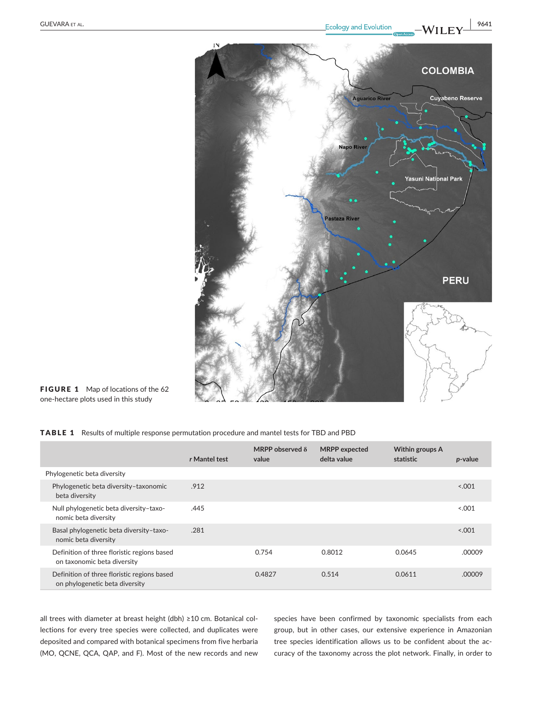

FIGURE 1 Map of locations of the 62 one-hectare plots used in this study

### TABLE 1 Results of multiple response permutation procedure and mantel tests for TBD and PBD

|                                                                               | r Mantel test | MRPP observed $\delta$<br>value | <b>MRPP</b> expected<br>delta value | Within groups A<br>statistic | p-value |
|-------------------------------------------------------------------------------|---------------|---------------------------------|-------------------------------------|------------------------------|---------|
| Phylogenetic beta diversity                                                   |               |                                 |                                     |                              |         |
| Phylogenetic beta diversity-taxonomic<br>beta diversity                       | .912          |                                 |                                     |                              | < 0.001 |
| Null phylogenetic beta diversity-taxo-<br>nomic beta diversity                | .445          |                                 |                                     |                              | 0.001   |
| Basal phylogenetic beta diversity-taxo-<br>nomic beta diversity               | .281          |                                 |                                     |                              | < 0.001 |
| Definition of three floristic regions based<br>on taxonomic beta diversity    |               | 0.754                           | 0.8012                              | 0.0645                       | .00009  |
| Definition of three floristic regions based<br>on phylogenetic beta diversity |               | 0.4827                          | 0.514                               | 0.0611                       | .00009  |

all trees with diameter at breast height (dbh) ≥10 cm. Botanical collections for every tree species were collected, and duplicates were deposited and compared with botanical specimens from five herbaria (MO, QCNE, QCA, QAP, and F). Most of the new records and new

species have been confirmed by taxonomic specialists from each group, but in other cases, our extensive experience in Amazonian tree species identification allows us to be confident about the accuracy of the taxonomy across the plot network. Finally, in order to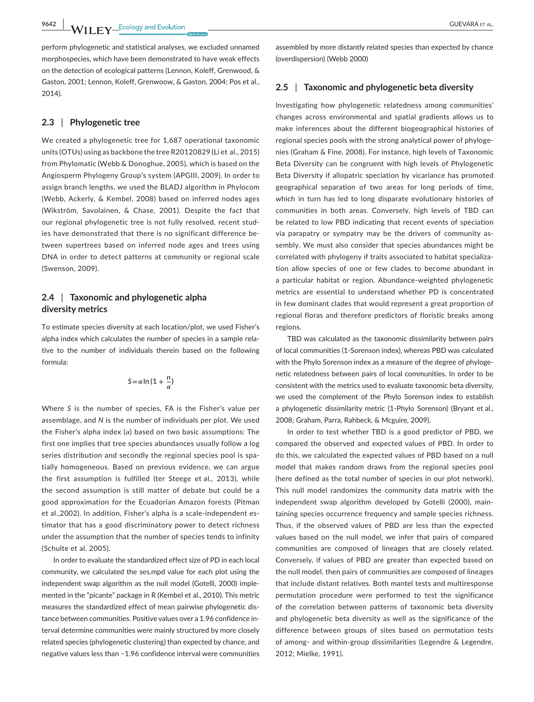**9642 WII FY** Ecology and Evolution **CUEVARA ET AL.** 

perform phylogenetic and statistical analyses, we excluded unnamed morphospecies, which have been demonstrated to have weak effects on the detection of ecological patterns (Lennon, Koleff, Grenwood, & Gaston, 2001; Lennon, Koleff, Grenwoow, & Gaston, 2004; Pos et al., 2014).

### **2.3** | **Phylogenetic tree**

We created a phylogenetic tree for 1,687 operational taxonomic units (OTUs) using as backbone the tree R20120829 (Li et al., 2015) from Phylomatic (Webb & Donoghue, 2005), which is based on the Angiosperm Phylogeny Group's system (APGIII, 2009). In order to assign branch lengths, we used the BLADJ algorithm in Phylocom (Webb, Ackerly, & Kembel, 2008) based on inferred nodes ages (Wikström, Savolainen, & Chase, 2001). Despite the fact that our regional phylogenetic tree is not fully resolved, recent studies have demonstrated that there is no significant difference between supertrees based on inferred node ages and trees using DNA in order to detect patterns at community or regional scale (Swenson, 2009).

## **2.4** | **Taxonomic and phylogenetic alpha diversity metrics**

To estimate species diversity at each location/plot, we used Fisher's alpha index which calculates the number of species in a sample relative to the number of individuals therein based on the following formula:

$$
S\!=\!\alpha\ln\,(1+\frac{n}{\alpha})
$$

Where *S* is the number of species, FA is the Fisher's value per assemblage, and *N* is the number of individuals per plot. We used the Fisher's alpha index  $(\alpha)$  based on two basic assumptions: The first one implies that tree species abundances usually follow a log series distribution and secondly the regional species pool is spatially homogeneous. Based on previous evidence, we can argue the first assumption is fulfilled (ter Steege et al., 2013), while the second assumption is still matter of debate but could be a good approximation for the Ecuadorian Amazon forests (Pitman et al.,2002). In addition, Fisher's alpha is a scale-independent estimator that has a good discriminatory power to detect richness under the assumption that the number of species tends to infinity (Schulte et al. 2005).

In order to evaluate the standardized effect size of PD in each local community, we calculated the ses.mpd value for each plot using the independent swap algorithm as the null model (Gotelli, 2000) implemented in the "picante" package in R (Kembel et al., 2010). This metric measures the standardized effect of mean pairwise phylogenetic distance between communities. Positive values over a 1.96 confidence interval determine communities were mainly structured by more closely related species (phylogenetic clustering) than expected by chance, and negative values less than −1.96 confidence interval were communities

assembled by more distantly related species than expected by chance (overdispersion) (Webb 2000)

#### **2.5** | **Taxonomic and phylogenetic beta diversity**

Investigating how phylogenetic relatedness among communities' changes across environmental and spatial gradients allows us to make inferences about the different biogeographical histories of regional species pools with the strong analytical power of phylogenies (Graham & Fine, 2008). For instance, high levels of Taxonomic Beta Diversity can be congruent with high levels of Phylogenetic Beta Diversity if allopatric speciation by vicariance has promoted geographical separation of two areas for long periods of time, which in turn has led to long disparate evolutionary histories of communities in both areas. Conversely, high levels of TBD can be related to low PBD indicating that recent events of speciation via parapatry or sympatry may be the drivers of community assembly. We must also consider that species abundances might be correlated with phylogeny if traits associated to habitat specialization allow species of one or few clades to become abundant in a particular habitat or region. Abundance-weighted phylogenetic metrics are essential to understand whether PD is concentrated in few dominant clades that would represent a great proportion of regional floras and therefore predictors of floristic breaks among regions.

TBD was calculated as the taxonomic dissimilarity between pairs of local communities (1-Sorenson index), whereas PBD was calculated with the Phylo Sorenson index as a measure of the degree of phylogenetic relatedness between pairs of local communities. In order to be consistent with the metrics used to evaluate taxonomic beta diversity, we used the complement of the Phylo Sorenson index to establish a phylogenetic dissimilarity metric (1-Phylo Sorenson) (Bryant et al., 2008; Graham, Parra, Rahbeck, & Mcguire, 2009).

In order to test whether TBD is a good predictor of PBD, we compared the observed and expected values of PBD. In order to do this, we calculated the expected values of PBD based on a null model that makes random draws from the regional species pool (here defined as the total number of species in our plot network). This null model randomizes the community data matrix with the independent swap algorithm developed by Gotelli (2000), maintaining species occurrence frequency and sample species richness. Thus, if the observed values of PBD are less than the expected values based on the null model, we infer that pairs of compared communities are composed of lineages that are closely related. Conversely, if values of PBD are greater than expected based on the null model, then pairs of communities are composed of lineages that include distant relatives. Both mantel tests and multiresponse permutation procedure were performed to test the significance of the correlation between patterns of taxonomic beta diversity and phylogenetic beta diversity as well as the significance of the difference between groups of sites based on permutation tests of among- and within-group dissimilarities (Legendre & Legendre, 2012; Mielke, 1991).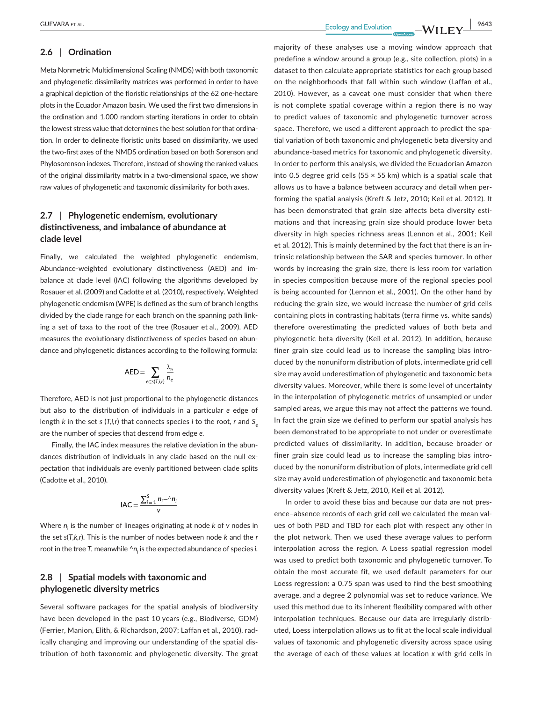## **2.6** | **Ordination**

Meta Nonmetric Multidimensional Scaling (NMDS) with both taxonomic and phylogenetic dissimilarity matrices was performed in order to have a graphical depiction of the floristic relationships of the 62 one-hectare plots in the Ecuador Amazon basin. We used the first two dimensions in the ordination and 1,000 random starting iterations in order to obtain the lowest stress value that determines the best solution for that ordination. In order to delineate floristic units based on dissimilarity, we used the two-first axes of the NMDS ordination based on both Sorenson and Phylosorenson indexes. Therefore, instead of showing the ranked values of the original dissimilarity matrix in a two-dimensional space, we show raw values of phylogenetic and taxonomic dissimilarity for both axes.

# **2.7** | **Phylogenetic endemism, evolutionary distinctiveness, and imbalance of abundance at clade level**

Finally, we calculated the weighted phylogenetic endemism, Abundance-weighted evolutionary distinctiveness (AED) and imbalance at clade level (IAC) following the algorithms developed by Rosauer et al. (2009) and Cadotte et al. (2010), respectively. Weighted phylogenetic endemism (WPE) is defined as the sum of branch lengths divided by the clade range for each branch on the spanning path linking a set of taxa to the root of the tree (Rosauer et al., 2009). AED measures the evolutionary distinctiveness of species based on abundance and phylogenetic distances according to the following formula:

$$
\text{AED} = \sum_{e \in \text{s}(\text{T},i,r)} \frac{\lambda_e}{n_e}
$$

Therefore, AED is not just proportional to the phylogenetic distances but also to the distribution of individuals in a particular *e* edge of length *k* in the set *s* (*T,i,r*) that connects species *i* to the root, *r* and *S<sub>e</sub>* are the number of species that descend from edge *e.*

Finally, the IAC index measures the relative deviation in the abundances distribution of individuals in any clade based on the null expectation that individuals are evenly partitioned between clade splits (Cadotte et al., 2010).

$$
IAC = \frac{\sum_{i=1}^{S} n_i - \gamma n_i}{v}
$$

Where *n*<sub>i</sub> is the number of lineages originating at node *k* of *v* nodes in the set *s*(*T,k,r*). This is the number of nodes between node *k* and the *r* root in the tree *T*, meanwhile  $^h$ *n*<sub>i</sub> is the expected abundance of species *i*.

# **2.8** | **Spatial models with taxonomic and phylogenetic diversity metrics**

Several software packages for the spatial analysis of biodiversity have been developed in the past 10 years (e.g., Biodiverse, GDM) (Ferrier, Manion, Elith, & Richardson, 2007; Laffan et al., 2010), radically changing and improving our understanding of the spatial distribution of both taxonomic and phylogenetic diversity. The great majority of these analyses use a moving window approach that predefine a window around a group (e.g., site collection, plots) in a dataset to then calculate appropriate statistics for each group based on the neighborhoods that fall within such window (Laffan et al., 2010). However, as a caveat one must consider that when there is not complete spatial coverage within a region there is no way to predict values of taxonomic and phylogenetic turnover across space. Therefore, we used a different approach to predict the spatial variation of both taxonomic and phylogenetic beta diversity and abundance-based metrics for taxonomic and phylogenetic diversity. In order to perform this analysis, we divided the Ecuadorian Amazon into 0.5 degree grid cells (55  $\times$  55 km) which is a spatial scale that allows us to have a balance between accuracy and detail when performing the spatial analysis (Kreft & Jetz, 2010; Keil et al. 2012). It has been demonstrated that grain size affects beta diversity estimations and that increasing grain size should produce lower beta diversity in high species richness areas (Lennon et al., 2001; Keil et al. 2012). This is mainly determined by the fact that there is an intrinsic relationship between the SAR and species turnover. In other words by increasing the grain size, there is less room for variation in species composition because more of the regional species pool is being accounted for (Lennon et al., 2001). On the other hand by reducing the grain size, we would increase the number of grid cells containing plots in contrasting habitats (terra firme vs. white sands) therefore overestimating the predicted values of both beta and phylogenetic beta diversity (Keil et al. 2012). In addition, because finer grain size could lead us to increase the sampling bias introduced by the nonuniform distribution of plots, intermediate grid cell size may avoid underestimation of phylogenetic and taxonomic beta diversity values. Moreover, while there is some level of uncertainty in the interpolation of phylogenetic metrics of unsampled or under sampled areas, we argue this may not affect the patterns we found. In fact the gra*i*n size we defined to perform our spatial analysis has been demonstrated to be appropriate to not under or overestimate predicted values of dissimilarity. In addition, because broader or finer grain size could lead us to increase the sampling bias introduced by the nonuniform distribution of plots, intermediate grid cell size may avoid underestimation of phylogenetic and taxonomic beta diversity values (Kreft & Jetz, 2010, Keil et al. 2012).

In order to avoid these bias and because our data are not presence–absence records of each grid cell we calculated the mean values of both PBD and TBD for each plot with respect any other in the plot network. Then we used these average values to perform interpolation across the region. A Loess spatial regression model was used to predict both taxonomic and phylogenetic turnover. To obtain the most accurate fit, we used default parameters for our Loess regression: a 0.75 span was used to find the best smoothing average, and a degree 2 polynomial was set to reduce variance. We used this method due to its inherent flexibility compared with other interpolation techniques. Because our data are irregularly distributed, Loess interpolation allows us to fit at the local scale individual values of taxonomic and phylogenetic diversity across space using the average of each of these values at location *x* with grid cells in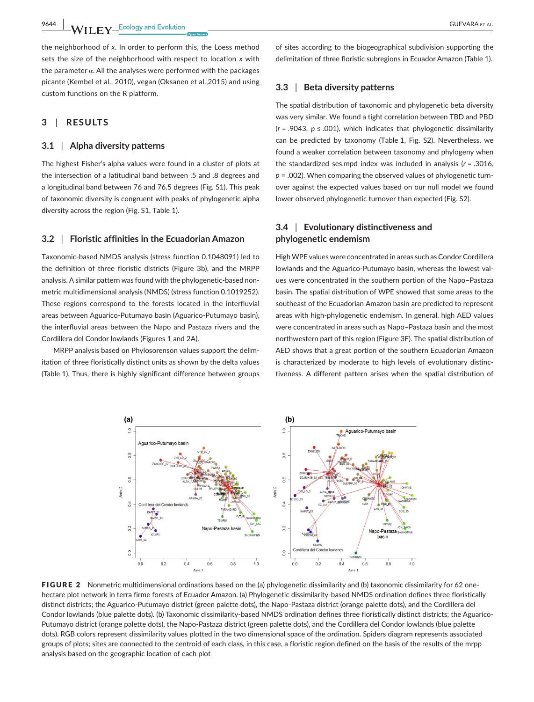**9644 MILEV\_Ecology** and Evolution **by the contract of the COLOR CONTRACT AL.** 

the neighborhood of *x*. In order to perform this, the Loess method sets the size of the neighborhood with respect to location *x* with the parameter  $\alpha$ . All the analyses were performed with the packages picante (Kembel et al., 2010), vegan (Oksanen et al.,2015) and using custom functions on the R platform.

## **3** | **RESULTS**

## **3.1** | **Alpha diversity patterns**

The highest Fisher's alpha values were found in a cluster of plots at the intersection of a latitudinal band between .5 and .8 degrees and a longitudinal band between 76 and 76.5 degrees (Fig. S1). This peak of taxonomic diversity is congruent with peaks of phylogenetic alpha diversity across the region (Fig. S1, Table 1).

### **3.2** | **Floristic affinities in the Ecuadorian Amazon**

Taxonomic-based NMDS analysis (stress function 0.1048091) led to the definition of three floristic districts (Figure 3b), and the MRPP analysis. A similar pattern was found with the phylogenetic-based nonmetric multidimensional analysis (NMDS) (stress function 0.1019252). These regions correspond to the forests located in the interfluvial areas between Aguarico-Putumayo basin (Aguarico-Putumayo basin), the interfluvial areas between the Napo and Pastaza rivers and the Cordillera del Condor lowlands (Figures 1 and 2A).

MRPP analysis based on Phylosorenson values support the delimitation of three floristically distinct units as shown by the delta values (Table 1). Thus, there is highly significant difference between groups of sites according to the biogeographical subdivision supporting the delimitation of three floristic subregions in Ecuador Amazon (Table 1).

## **3.3** | **Beta diversity patterns**

The spatial distribution of taxonomic and phylogenetic beta diversity was very similar. We found a tight correlation between TBD and PBD (*r* = .9043, *p* ≤ .001), which indicates that phylogenetic dissimilarity can be predicted by taxonomy (Table 1, Fig. S2). Nevertheless, we found a weaker correlation between taxonomy and phylogeny when the standardized ses.mpd index was included in analysis (*r* = .3016, *p* = .002). When comparing the observed values of phylogenetic turnover against the expected values based on our null model we found lower observed phylogenetic turnover than expected (Fig. S2).

## **3.4** | **Evolutionary distinctiveness and phylogenetic endemism**

High WPE values were concentrated in areas such as Condor Cordillera lowlands and the Aguarico-Putumayo basin, whereas the lowest values were concentrated in the southern portion of the Napo–Pastaza basin. The spatial distribution of WPE showed that some areas to the southeast of the Ecuadorian Amazon basin are predicted to represent areas with high-phylogenetic endemism. In general, high AED values were concentrated in areas such as Napo–Pastaza basin and the most northwestern part of this region (Figure 3F). The spatial distribution of AED shows that a great portion of the southern Ecuadorian Amazon is characterized by moderate to high levels of evolutionary distinctiveness. A different pattern arises when the spatial distribution of



FIGURE 2 Nonmetric multidimensional ordinations based on the (a) phylogenetic dissimilarity and (b) taxonomic dissimilarity for 62 onehectare plot network in terra firme forests of Ecuador Amazon. (a) Phylogenetic dissimilarity-based NMDS ordination defines three floristically distinct districts; the Aguarico-Putumayo district (green palette dots), the Napo-Pastaza district (orange palette dots), and the Cordillera del Condor lowlands (blue palette dots). (b) Taxonomic dissimilarity-based NMDS ordination defines three floristically distinct districts; the Aguarico-Putumayo district (orange palette dots), the Napo-Pastaza district (green palette dots), and the Cordillera del Condor lowlands (blue palette dots). RGB colors represent dissimilarity values plotted in the two dimensional space of the ordination. Spiders diagram represents associated groups of plots; sites are connected to the centroid of each class, in this case, a floristic region defined on the basis of the results of the mrpp analysis based on the geographic location of each plot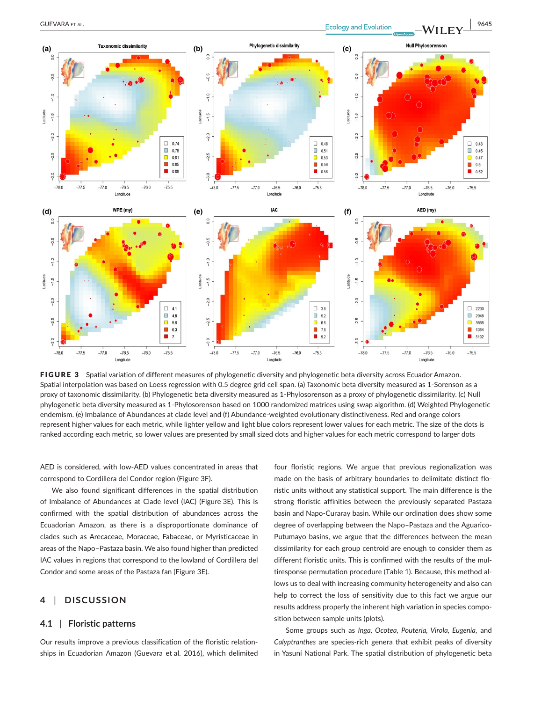

FIGURE 3 Spatial variation of different measures of phylogenetic diversity and phylogenetic beta diversity across Ecuador Amazon. Spatial interpolation was based on Loess regression with 0.5 degree grid cell span. (a) Taxonomic beta diversity measured as 1-Sorenson as a proxy of taxonomic dissimilarity. (b) Phylogenetic beta diversity measured as 1-Phylosorenson as a proxy of phylogenetic dissimilarity. (c) Null phylogenetic beta diversity measured as 1-Phylosorenson based on 1000 randomized matrices using swap algorithm. (d) Weighted Phylogenetic endemism. (e) Imbalance of Abundances at clade level and (f) Abundance-weighted evolutionary distinctiveness. Red and orange colors represent higher values for each metric, while lighter yellow and light blue colors represent lower values for each metric. The size of the dots is ranked according each metric, so lower values are presented by small sized dots and higher values for each metric correspond to larger dots

AED is considered, with low-AED values concentrated in areas that correspond to Cordillera del Condor region (Figure 3F).

We also found significant differences in the spatial distribution of Imbalance of Abundances at Clade level (IAC) (Figure 3E). This is confirmed with the spatial distribution of abundances across the Ecuadorian Amazon, as there is a disproportionate dominance of clades such as Arecaceae, Moraceae, Fabaceae, or Myristicaceae in areas of the Napo–Pastaza basin. We also found higher than predicted IAC values in regions that correspond to the lowland of Cordillera del Condor and some areas of the Pastaza fan (Figure 3E).

## **4** | **DISCUSSION**

## **4.1** | **Floristic patterns**

Our results improve a previous classification of the floristic relationships in Ecuadorian Amazon (Guevara et al. 2016), which delimited four floristic regions. We argue that previous regionalization was made on the basis of arbitrary boundaries to delimitate distinct floristic units without any statistical support. The main difference is the strong floristic affinities between the previously separated Pastaza basin and Napo-Curaray basin. While our ordination does show some degree of overlapping between the Napo–Pastaza and the Aguarico-Putumayo basins, we argue that the differences between the mean dissimilarity for each group centroid are enough to consider them as different floristic units. This is confirmed with the results of the multiresponse permutation procedure (Table 1). Because, this method allows us to deal with increasing community heterogeneity and also can help to correct the loss of sensitivity due to this fact we argue our results address properly the inherent high variation in species composition between sample units (plots).

Some groups such as *Inga, Ocotea, Pouteria, Virola, Eugenia,* and *Calyptranthes* are species-rich genera that exhibit peaks of diversity in Yasuní National Park. The spatial distribution of phylogenetic beta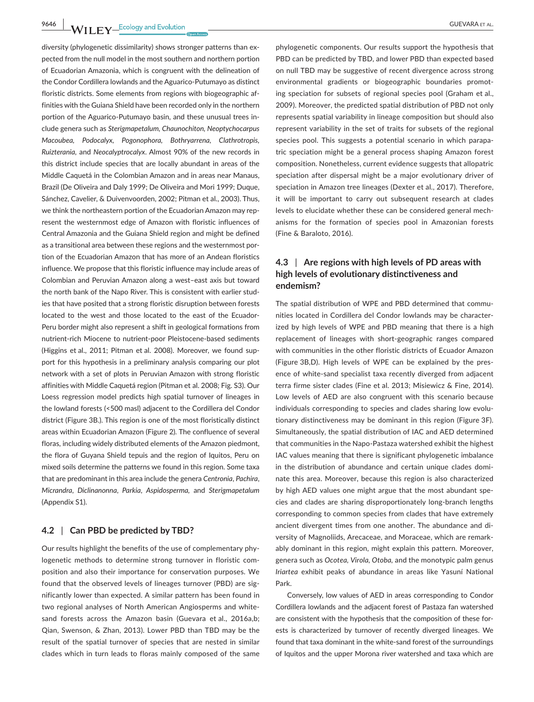**19646 WII FV** Ecology and Evolution **and Experiment COUEVARA ET AL.** 

diversity (phylogenetic dissimilarity) shows stronger patterns than expected from the null model in the most southern and northern portion of Ecuadorian Amazonia, which is congruent with the delineation of the Condor Cordillera lowlands and the Aguarico-Putumayo as distinct floristic districts. Some elements from regions with biogeographic affinities with the Guiana Shield have been recorded only in the northern portion of the Aguarico-Putumayo basin, and these unusual trees include genera such as *Sterigmapetalum, Chaunochiton, Neoptychocarpus Macoubea, Podocalyx, Pogonophora, Bothryarrena, Clathrotropis, Ruizterania,* and *Neocalyptrocalyx*. Almost 90% of the new records in this district include species that are locally abundant in areas of the Middle Caquetá in the Colombian Amazon and in areas near Manaus, Brazil (De Oliveira and Daly 1999; De Oliveira and Mori 1999; Duque, Sánchez, Cavelier, & Duivenvoorden, 2002; Pitman et al., 2003). Thus, we think the northeastern portion of the Ecuadorian Amazon may represent the westernmost edge of Amazon with floristic influences of Central Amazonia and the Guiana Shield region and might be defined as a transitional area between these regions and the westernmost portion of the Ecuadorian Amazon that has more of an Andean floristics influence. We propose that this floristic influence may include areas of Colombian and Peruvian Amazon along a west–east axis but toward the north bank of the Napo River. This is consistent with earlier studies that have posited that a strong floristic disruption between forests located to the west and those located to the east of the Ecuador-Peru border might also represent a shift in geological formations from nutrient-rich Miocene to nutrient-poor Pleistocene-based sediments (Higgins et al., 2011; Pitman et al. 2008). Moreover, we found support for this hypothesis in a preliminary analysis comparing our plot network with a set of plots in Peruvian Amazon with strong floristic affinities with Middle Caquetá region (Pitman et al. 2008; Fig. S3). Our Loess regression model predicts high spatial turnover of lineages in the lowland forests (<500 masl) adjacent to the Cordillera del Condor district (Figure 3B.). This region is one of the most floristically distinct areas within Ecuadorian Amazon (Figure 2)*.* The confluence of several floras, including widely distributed elements of the Amazon piedmont, the flora of Guyana Shield tepuis and the region of Iquitos, Peru on mixed soils determine the patterns we found in this region. Some taxa that are predominant in this area include the genera *Centronia*, *Pachira*, *Micrandra*, *Diclinanonna*, *Parkia*, *Aspidosperma,* and *Sterigmapetalum* (Appendix S1).

## **4.2** | **Can PBD be predicted by TBD?**

Our results highlight the benefits of the use of complementary phylogenetic methods to determine strong turnover in floristic composition and also their importance for conservation purposes. We found that the observed levels of lineages turnover (PBD) are significantly lower than expected. A similar pattern has been found in two regional analyses of North American Angiosperms and whitesand forests across the Amazon basin (Guevara et al., 2016a,b; Qian, Swenson, & Zhan, 2013). Lower PBD than TBD may be the result of the spatial turnover of species that are nested in similar clades which in turn leads to floras mainly composed of the same

phylogenetic components. Our results support the hypothesis that PBD can be predicted by TBD, and lower PBD than expected based on null TBD may be suggestive of recent divergence across strong environmental gradients or biogeographic boundaries promoting speciation for subsets of regional species pool (Graham et al., 2009). Moreover, the predicted spatial distribution of PBD not only represents spatial variability in lineage composition but should also represent variability in the set of traits for subsets of the regional species pool. This suggests a potential scenario in which parapatric speciation might be a general process shaping Amazon forest composition. Nonetheless, current evidence suggests that allopatric speciation after dispersal might be a major evolutionary driver of speciation in Amazon tree lineages (Dexter et al., 2017). Therefore, it will be important to carry out subsequent research at clades levels to elucidate whether these can be considered general mechanisms for the formation of species pool in Amazonian forests (Fine & Baraloto, 2016).

# **4.3** | **Are regions with high levels of PD areas with high levels of evolutionary distinctiveness and endemism?**

The spatial distribution of WPE and PBD determined that communities located in Cordillera del Condor lowlands may be characterized by high levels of WPE and PBD meaning that there is a high replacement of lineages with short-geographic ranges compared with communities in the other floristic districts of Ecuador Amazon (Figure 3B,D). High levels of WPE can be explained by the presence of white-sand specialist taxa recently diverged from adjacent terra firme sister clades (Fine et al. 2013; Misiewicz & Fine, 2014). Low levels of AED are also congruent with this scenario because individuals corresponding to species and clades sharing low evolutionary distinctiveness may be dominant in this region (Figure 3F). Simultaneously, the spatial distribution of IAC and AED determined that communities in the Napo-Pastaza watershed exhibit the highest IAC values meaning that there is significant phylogenetic imbalance in the distribution of abundance and certain unique clades dominate this area. Moreover, because this region is also characterized by high AED values one might argue that the most abundant species and clades are sharing disproportionately long-branch lengths corresponding to common species from clades that have extremely ancient divergent times from one another. The abundance and diversity of Magnoliids, Arecaceae, and Moraceae, which are remarkably dominant in this region, might explain this pattern. Moreover, genera such as *Ocotea, Virola, Otoba,* and the monotypic palm genus *Iriartea* exhibit peaks of abundance in areas like Yasuní National Park.

Conversely, low values of AED in areas corresponding to Condor Cordillera lowlands and the adjacent forest of Pastaza fan watershed are consistent with the hypothesis that the composition of these forests is characterized by turnover of recently diverged lineages. We found that taxa dominant in the white-sand forest of the surroundings of Iquitos and the upper Morona river watershed and taxa which are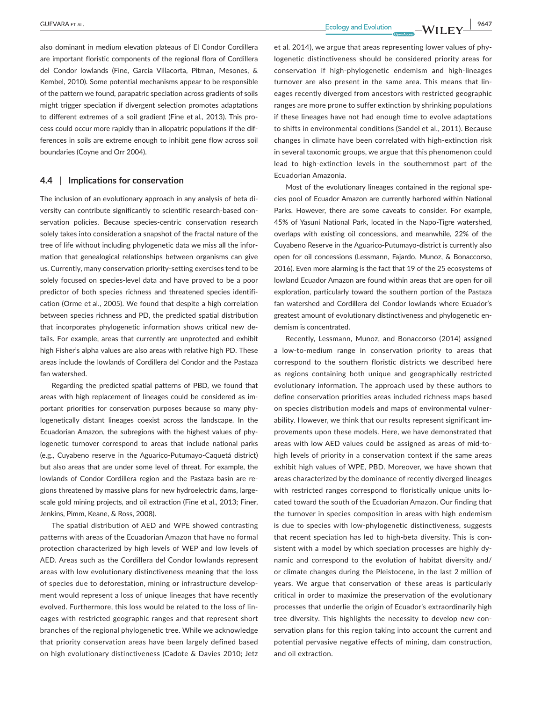also dominant in medium elevation plateaus of El Condor Cordillera are important floristic components of the regional flora of Cordillera del Condor lowlands (Fine, Garcia Villacorta, Pitman, Mesones, & Kembel, 2010). Some potential mechanisms appear to be responsible of the pattern we found, parapatric speciation across gradients of soils might trigger speciation if divergent selection promotes adaptations to different extremes of a soil gradient (Fine et al., 2013). This process could occur more rapidly than in allopatric populations if the differences in soils are extreme enough to inhibit gene flow across soil boundaries (Coyne and Orr 2004).

## **4.4** | **Implications for conservation**

The inclusion of an evolutionary approach in any analysis of beta diversity can contribute significantly to scientific research-based conservation policies. Because species-centric conservation research solely takes into consideration a snapshot of the fractal nature of the tree of life without including phylogenetic data we miss all the information that genealogical relationships between organisms can give us. Currently, many conservation priority-setting exercises tend to be solely focused on species-level data and have proved to be a poor predictor of both species richness and threatened species identification (Orme et al., 2005). We found that despite a high correlation between species richness and PD, the predicted spatial distribution that incorporates phylogenetic information shows critical new details. For example, areas that currently are unprotected and exhibit high Fisher's alpha values are also areas with relative high PD. These areas include the lowlands of Cordillera del Condor and the Pastaza fan watershed.

Regarding the predicted spatial patterns of PBD, we found that areas with high replacement of lineages could be considered as important priorities for conservation purposes because so many phylogenetically distant lineages coexist across the landscape. In the Ecuadorian Amazon, the subregions with the highest values of phylogenetic turnover correspond to areas that include national parks (e.g., Cuyabeno reserve in the Aguarico-Putumayo-Caquetá district) but also areas that are under some level of threat. For example, the lowlands of Condor Cordillera region and the Pastaza basin are regions threatened by massive plans for new hydroelectric dams, largescale gold mining projects, and oil extraction (Fine et al., 2013; Finer, Jenkins, Pimm, Keane, & Ross, 2008).

The spatial distribution of AED and WPE showed contrasting patterns with areas of the Ecuadorian Amazon that have no formal protection characterized by high levels of WEP and low levels of AED. Areas such as the Cordillera del Condor lowlands represent areas with low evolutionary distinctiveness meaning that the loss of species due to deforestation, mining or infrastructure development would represent a loss of unique lineages that have recently evolved. Furthermore, this loss would be related to the loss of lineages with restricted geographic ranges and that represent short branches of the regional phylogenetic tree. While we acknowledge that priority conservation areas have been largely defined based on high evolutionary distinctiveness (Cadote & Davies 2010; Jetz

et al. 2014), we argue that areas representing lower values of phylogenetic distinctiveness should be considered priority areas for conservation if high-phylogenetic endemism and high-lineages turnover are also present in the same area. This means that lineages recently diverged from ancestors with restricted geographic ranges are more prone to suffer extinction by shrinking populations if these lineages have not had enough time to evolve adaptations to shifts in environmental conditions (Sandel et al., 2011). Because changes in climate have been correlated with high-extinction risk in several taxonomic groups, we argue that this phenomenon could lead to high-extinction levels in the southernmost part of the Ecuadorian Amazonia.

Most of the evolutionary lineages contained in the regional species pool of Ecuador Amazon are currently harbored within National Parks. However, there are some caveats to consider. For example, 45% of Yasuní National Park, located in the Napo-Tigre watershed, overlaps with existing oil concessions, and meanwhile, 22% of the Cuyabeno Reserve in the Aguarico-Putumayo-district is currently also open for oil concessions (Lessmann, Fajardo, Munoz, & Bonaccorso, 2016). Even more alarming is the fact that 19 of the 25 ecosystems of lowland Ecuador Amazon are found within areas that are open for oil exploration, particularly toward the southern portion of the Pastaza fan watershed and Cordillera del Condor lowlands where Ecuador's greatest amount of evolutionary distinctiveness and phylogenetic endemism is concentrated.

Recently, Lessmann, Munoz, and Bonaccorso (2014) assigned a low-to-medium range in conservation priority to areas that correspond to the southern floristic districts we described here as regions containing both unique and geographically restricted evolutionary information. The approach used by these authors to define conservation priorities areas included richness maps based on species distribution models and maps of environmental vulnerability. However, we think that our results represent significant improvements upon these models. Here, we have demonstrated that areas with low AED values could be assigned as areas of mid-tohigh levels of priority in a conservation context if the same areas exhibit high values of WPE, PBD. Moreover, we have shown that areas characterized by the dominance of recently diverged lineages with restricted ranges correspond to floristically unique units located toward the south of the Ecuadorian Amazon. Our finding that the turnover in species composition in areas with high endemism is due to species with low-phylogenetic distinctiveness, suggests that recent speciation has led to high-beta diversity. This is consistent with a model by which speciation processes are highly dynamic and correspond to the evolution of habitat diversity and/ or climate changes during the Pleistocene, in the last 2 million of years. We argue that conservation of these areas is particularly critical in order to maximize the preservation of the evolutionary processes that underlie the origin of Ecuador's extraordinarily high tree diversity. This highlights the necessity to develop new conservation plans for this region taking into account the current and potential pervasive negative effects of mining, dam construction, and oil extraction.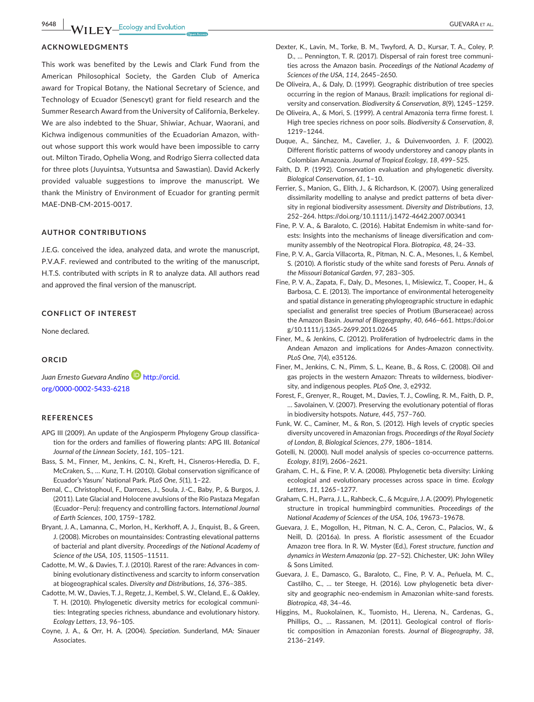## **ACKNOWLEDGMENTS**

This work was benefited by the Lewis and Clark Fund from the American Philosophical Society, the Garden Club of America award for Tropical Botany, the National Secretary of Science, and Technology of Ecuador (Senescyt) grant for field research and the Summer Research Award from the University of California, Berkeley. We are also indebted to the Shuar, Shiwiar, Achuar, Waorani, and Kichwa indigenous communities of the Ecuadorian Amazon, without whose support this work would have been impossible to carry out. Milton Tirado, Ophelia Wong, and Rodrigo Sierra collected data for three plots (Juyuintsa, Yutsuntsa and Sawastian). David Ackerly provided valuable suggestions to improve the manuscript. We thank the Ministry of Environment of Ecuador for granting permit MAE-DNB-CM-2015-0017.

#### **AUTHOR CONTRIBUTIONS**

J.E.G. conceived the idea, analyzed data, and wrote the manuscript, P.V.A.F. reviewed and contributed to the writing of the manuscript, H.T.S. contributed with scripts in R to analyze data. All authors read and approved the final version of the manuscript.

### **CONFLICT OF INTEREST**

None declared.

## **ORCID**

*Juan Ernesto Guevara Andino* [http://orcid.](http://orcid.org/0000-0002-5433-6218) [org/0000-0002-5433-6218](http://orcid.org/0000-0002-5433-6218)

#### **REFERENCES**

- APG III (2009). An update of the Angiosperm Phylogeny Group classification for the orders and families of flowering plants: APG III. *Botanical Journal of the Linnean Society*, *161*, 105–121.
- Bass, S. M., Finner, M., Jenkins, C. N., Kreft, H., Cisneros-Heredia, D. F., McCraken, S., … Kunz, T. H. (2010). Global conservation significance of Ecuador's Yasunı′ National Park. *PLoS One*, *5*(1), 1–22.
- Bernal, C., Christophoul, F., Darrozes, J., Soula, J.-C., Baby, P., & Burgos, J. (2011). Late Glacial and Holocene avulsions of the Rio Pastaza Megafan (Ecuador–Peru): frequency and controlling factors. *International Journal of Earth Sciences*, *100*, 1759–1782.
- Bryant, J. A., Lamanna, C., Morlon, H., Kerkhoff, A. J., Enquist, B., & Green, J. (2008). Microbes on mountainsides: Contrasting elevational patterns of bacterial and plant diversity. *Proceedings of the National Academy of Science of the USA*, *105*, 11505–11511.
- Cadotte, M. W., & Davies, T. J. (2010). Rarest of the rare: Advances in combining evolutionary distinctiveness and scarcity to inform conservation at biogeographical scales. *Diversity and Distributions*, *16*, 376–385.
- Cadotte, M. W., Davies, T. J., Regetz, J., Kembel, S. W., Cleland, E., & Oakley, T. H. (2010). Phylogenetic diversity metrics for ecological communities: Integrating species richness, abundance and evolutionary history. *Ecology Letters*, *13*, 96–105.
- Coyne, J. A., & Orr, H. A. (2004). *Speciation*. Sunderland, MA: Sinauer Associates.

De Oliveira, A., & Daly, D. (1999). Geographic distribution of tree species occurring in the region of Manaus, Brazil: implications for regional diversity and conservation. *Biodiversity & Conservation*, *8*(9), 1245–1259.

*Sciences of the USA*, *114*, 2645–2650.

- De Oliveira, A., & Mori, S. (1999). A central Amazonia terra firme forest. I. High tree species richness on poor soils. *Biodiversity & Conservation*, *8*, 1219–1244.
- Duque, A., Sánchez, M., Cavelier, J., & Duivenvoorden, J. F. (2002). Different floristic patterns of woody understorey and canopy plants in Colombian Amazonia. *Journal of Tropical Ecology*, *18*, 499–525.
- Faith, D. P. (1992). Conservation evaluation and phylogenetic diversity. *Biological Conservation*, *61*, 1–10.
- Ferrier, S., Manion, G., Elith, J., & Richardson, K. (2007). Using generalized dissimilarity modelling to analyse and predict patterns of beta diversity in regional biodiversity assessment. *Diversity and Distributions*, *13*, 252–264. <https://doi.org/10.1111/j.1472-4642.2007.00341>
- Fine, P. V. A., & Baraloto, C. (2016). Habitat Endemism in white-sand forests: Insights into the mechanisms of lineage diversification and community assembly of the Neotropical Flora. *Biotropica*, *48*, 24–33.
- Fine, P. V. A., Garcia Villacorta, R., Pitman, N. C. A., Mesones, I., & Kembel, S. (2010). A floristic study of the white sand forests of Peru. *Annals of the Missouri Botanical Garden*, *97*, 283–305.
- Fine, P. V. A., Zapata, F., Daly, D., Mesones, I., Misiewicz, T., Cooper, H., & Barbosa, C. E. (2013). The importance of environmental heterogeneity and spatial distance in generating phylogeographic structure in edaphic specialist and generalist tree species of Protium (Burseraceae) across the Amazon Basin. *Journal of Biogeography*, *40*, 646–661. [https://doi.or](https://doi.org/10.1111/j.1365-2699.2011.02645) [g/10.1111/j.1365-2699.2011.02645](https://doi.org/10.1111/j.1365-2699.2011.02645)
- Finer, M., & Jenkins, C. (2012). Proliferation of hydroelectric dams in the Andean Amazon and implications for Andes-Amazon connectivity. *PLoS One*, *7*(4), e35126.
- Finer, M., Jenkins, C. N., Pimm, S. L., Keane, B., & Ross, C. (2008). Oil and gas projects in the western Amazon: Threats to wilderness, biodiversity, and indigenous peoples. *PLoS One*, *3*, e2932.
- Forest, F., Grenyer, R., Rouget, M., Davies, T. J., Cowling, R. M., Faith, D. P., … Savolainen, V. (2007). Preserving the evolutionary potential of floras in biodiversity hotspots. *Nature*, *445*, 757–760.
- Funk, W. C., Caminer, M., & Ron, S. (2012). High levels of cryptic species diversity uncovered in Amazonian frogs. *Proceedings of the Royal Society of London, B, Biological Sciences*, *279*, 1806–1814.
- Gotelli, N. (2000). Null model analysis of species co-occurrence patterns. *Ecology*, *81*(9), 2606–2621.
- Graham, C. H., & Fine, P. V. A. (2008). Phylogenetic beta diversity: Linking ecological and evolutionary processes across space in time. *Ecology Letters*, *11*, 1265–1277.
- Graham, C. H., Parra, J. L., Rahbeck, C., & Mcguire, J.A. (2009). Phylogenetic structure in tropical hummingbird communities. *Proceedings of the National Academy of Sciences of the USA*, *106*, 19673–19678.
- Guevara, J. E., Mogollon, H., Pitman, N. C. A., Ceron, C., Palacios, W., & Neill, D. (2016a). In press. A floristic assessment of the Ecuador Amazon tree flora. In R. W. Myster (Ed.), *Forest structure, function and dynamics in Western Amazonia* (pp. 27–52). Chichester, UK: John Wiley & Sons Limited.
- Guevara, J. E., Damasco, G., Baraloto, C., Fine, P. V. A., Peñuela, M. C., Castilho, C., … ter Steege, H. (2016). Low phylogenetic beta diversity and geographic neo-endemism in Amazonian white-sand forests. *Biotropica*, *48*, 34–46.
- Higgins, M., Ruokolainen, K., Tuomisto, H., Llerena, N., Cardenas, G., Phillips, O., … Rassanen, M. (2011). Geological control of floristic composition in Amazonian forests. *Journal of Biogeography*, *38*, 2136–2149.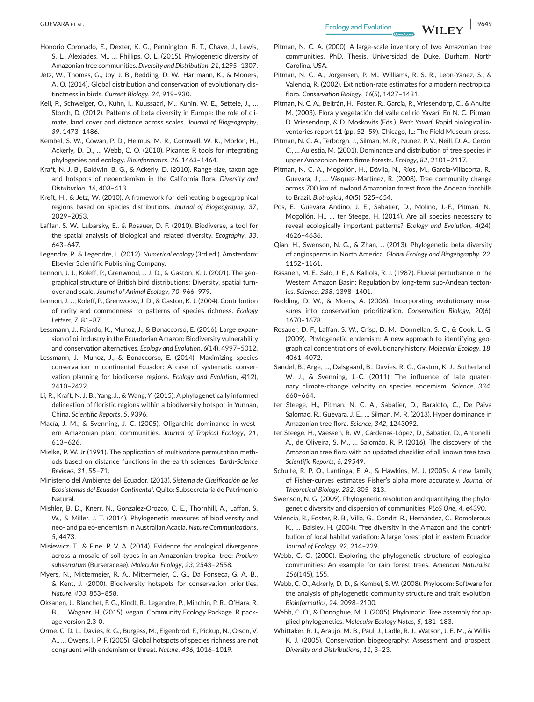- Honorio Coronado, E., Dexter, K. G., Pennington, R. T., Chave, J., Lewis, S. L., Alexiades, M., … Phillips, O. L. (2015). Phylogenetic diversity of Amazonian tree communities. *Diversity and Distribution*, *21*, 1295–1307.
- Jetz, W., Thomas, G., Joy, J. B., Redding, D. W., Hartmann, K., & Mooers, A. O. (2014). Global distribution and conservation of evolutionary distinctness in birds. *Current Biology*, *24*, 919–930.
- Keil, P., Schweiger, O., Kuhn, I., Kuussaari, M., Kunin, W. E., Settele, J., … Storch, D. (2012). Patterns of beta diversity in Europe: the role of climate, land cover and distance across scales. *Journal of Biogeography*, *39*, 1473–1486.
- Kembel, S. W., Cowan, P. D., Helmus, M. R., Cornwell, W. K., Morlon, H., Ackerly, D. D., … Webb, C. O. (2010). Picante: R tools for integrating phylogenies and ecology. *Bioinformatics*, *26*, 1463–1464.
- Kraft, N. J. B., Baldwin, B. G., & Ackerly, D. (2010). Range size, taxon age and hotspots of neoendemism in the California flora. *Diversity and Distribution*, *16*, 403–413.
- Kreft, H., & Jetz, W. (2010). A framework for delineating biogeographical regions based on species distributions. *Journal of Biogeography*, *37*, 2029–2053.
- Laffan, S. W., Lubarsky, E., & Rosauer, D. F. (2010). Biodiverse, a tool for the spatial analysis of biological and related diversity. *Ecography*, *33*, 643–647.
- Legendre, P., & Legendre, L. (2012). *Numerical ecology* (3rd ed.). Amsterdam: Elsevier Scientific Publishing Company.
- Lennon, J. J., Koleff, P., Grenwood, J. J. D., & Gaston, K. J. (2001). The geographical structure of British bird distributions: Diversity, spatial turnover and scale. *Journal of Animal Ecology*, *70*, 966–979.
- Lennon, J. J., Koleff, P., Grenwoow, J. D., & Gaston, K. J. (2004). Contribution of rarity and commonness to patterns of species richness. *Ecology Letters*, *7*, 81–87.
- Lessmann, J., Fajardo, K., Munoz, J., & Bonaccorso, E. (2016). Large expansion of oil industry in the Ecuadorian Amazon: Biodiversity vulnerability and conservation alternatives. *Ecology and Evolution*, *6*(14), 4997–5012.
- Lessmann, J., Munoz, J., & Bonaccorso, E. (2014). Maximizing species conservation in continental Ecuador: A case of systematic conservation planning for biodiverse regions. *Ecology and Evolution*, *4*(12), 2410–2422.
- Li, R., Kraft, N. J. B., Yang, J., & Wang, Y. (2015). A phylogenetically informed delineation of floristic regions within a biodiversity hotspot in Yunnan, China. *Scientific Reports*, *5*, 9396.
- Macía, J. M., & Svenning, J. C. (2005). Oligarchic dominance in western Amazonian plant communities. *Journal of Tropical Ecology*, *21*, 613–626.
- Mielke, P. W. Jr (1991). The application of multivariate permutation methods based on distance functions in the earth sciences. *Earth-Science Reviews*, *31*, 55–71.
- Ministerio del Ambiente del Ecuador. (2013). *Sistema de Clasificación de los Ecosistemas del Ecuador Continental*. Quito: Subsecretaría de Patrimonio Natural.
- Mishler, B. D., Knerr, N., Gonzalez-Orozco, C. E., Thornhill, A., Laffan, S. W., & Miller, J. T. (2014). Phylogenetic measures of biodiversity and neo- and paleo-endemism in Australian Acacia. *Nature Communications*, *5*, 4473.
- Misiewicz, T., & Fine, P. V. A. (2014). Evidence for ecological divergence across a mosaic of soil types in an Amazonian tropical tree: *Protium subserratum* (Burseraceae). *Molecular Ecology*, *23*, 2543–2558.
- Myers, N., Mittermeier, R. A., Mittermeier, C. G., Da Fonseca, G. A. B., & Kent, J. (2000). Biodiversity hotspots for conservation priorities. *Nature*, *403*, 853–858.
- Oksanen, J., Blanchet, F. G., Kindt, R., Legendre, P., Minchin, P. R., O'Hara, R. B., … Wagner, H. (2015). vegan: Community Ecology Package. R package version 2.3-0.
- Orme, C. D. L., Davies, R. G., Burgess, M., Eigenbrod, F., Pickup, N., Olson, V. A., … Owens, I. P. F. (2005). Global hotspots of species richness are not congruent with endemism or threat. *Nature*, *436*, 1016–1019.
- Pitman, N. C. A. (2000). A large-scale inventory of two Amazonian tree communities. PhD. Thesis. Universidad de Duke, Durham, North Carolina, USA.
- Pitman, N. C. A., Jorgensen, P. M., Williams, R. S. R., Leon-Yanez, S., & Valencia, R. (2002). Extinction-rate estimates for a modern neotropical flora. *Conservation Biology*, *16*(5), 1427–1431.
- Pitman, N. C. A., Beltrán, H., Foster, R., García, R., Vriesendorp, C., & Ahuite, M. (2003). Flora y vegetación del valle del río Yavarí. En N. C. Pitman, D. Vriesendorp, & D. Moskovits (Eds.), *Perú: Yavarí*. Rapid biological inventories report 11 (pp. 52–59). Chicago, IL: The Field Museum press.
- Pitman, N. C. A., Terborgh, J., Silman, M. R., Nuñez, P. V., Neill, D. A., Cerón, C., … Aulestia, M. (2001). Dominance and distribution of tree species in upper Amazonian terra firme forests. *Ecology*, *82*, 2101–2117.
- Pitman, N. C. A., Mogollón, H., Dávila, N., Ríos, M., García-Villacorta, R., Guevara, J., … Vásquez-Martínez, R. (2008). Tree community change across 700 km of lowland Amazonian forest from the Andean foothills to Brazil. *Biotropica*, *40*(5), 525–654.
- Pos, E., Guevara Andino, J. E., Sabatier, D., Molino, J.-F., Pitman, N., Mogollón, H., … ter Steege, H. (2014). Are all species necessary to reveal ecologically important patterns? *Ecology and Evolution*, *4*(24), 4626–4636.
- Qian, H., Swenson, N. G., & Zhan, J. (2013). Phylogenetic beta diversity of angiosperms in North America. *Global Ecology and Biogeography*, *22*, 1152–1161.
- Räsänen, M. E., Salo, J. E., & Kalliola, R. J. (1987). Fluvial perturbance in the Western Amazon Basin: Regulation by long-term sub-Andean tectonics. *Science*, *238*, 1398–1401.
- Redding, D. W., & Moers, A. (2006). Incorporating evolutionary measures into conservation prioritization. *Conservation Biology*, *20*(6), 1670–1678.
- Rosauer, D. F., Laffan, S. W., Crisp, D. M., Donnellan, S. C., & Cook, L. G. (2009). Phylogenetic endemism: A new approach to identifying geographical concentrations of evolutionary history. *Molecular Ecology*, *18*, 4061–4072.
- Sandel, B., Arge, L., Dalsgaard, B., Davies, R. G., Gaston, K. J., Sutherland, W. J., & Svenning, J.-C. (2011). The influence of late quaternary climate-change velocity on species endemism. *Science*, *334*, 660–664.
- ter Steege, H., Pitman, N. C. A., Sabatier, D., Baraloto, C., De Paiva Salomao, R., Guevara, J. E., … Silman, M. R. (2013). Hyper dominance in Amazonian tree flora. *Science*, *342*, 1243092.
- ter Steege, H., Vaessen, R. W., Cárdenas-López, D., Sabatier, D., Antonelli, A., de Oliveira, S. M., … Salomão, R. P. (2016). The discovery of the Amazonian tree flora with an updated checklist of all known tree taxa. *Scientific Reports*, *6*, 29549.
- Schulte, R. P. O., Lantinga, E. A., & Hawkins, M. J. (2005). A new family of Fisher-curves estimates Fisher's alpha more accurately. *Journal of Theoretical Biology*, *232*, 305–313.
- Swenson, N. G. (2009). Phylogenetic resolution and quantifying the phylogenetic diversity and dispersion of communities. *PLoS One*, *4*, e4390.
- Valencia, R., Foster, R. B., Villa, G., Condit, R., Hernández, C., Romoleroux, K., … Balslev, H. (2004). Tree diversity in the Amazon and the contribution of local habitat variation: A large forest plot in eastern Ecuador. *Journal of Ecology*, *92*, 214–229.
- Webb, C. O. (2000). Exploring the phylogenetic structure of ecological communities: An example for rain forest trees. *American Naturalist*, *156*(145), 155.
- Webb, C. O., Ackerly, D. D., & Kembel, S. W. (2008). Phylocom: Software for the analysis of phylogenetic community structure and trait evolution. *Bioinformatics*, *24*, 2098–2100.
- Webb, C. O., & Donoghue, M. J. (2005). Phylomatic: Tree assembly for applied phylogenetics. *Molecular Ecology Notes*, *5*, 181–183.
- Whittaker, R. J., Araujo, M. B., Paul, J., Ladle, R. J., Watson, J. E. M., & Willis, K. J. (2005). Conservation biogeography: Assessment and prospect. *Diversity and Distributions*, *11*, 3–23.